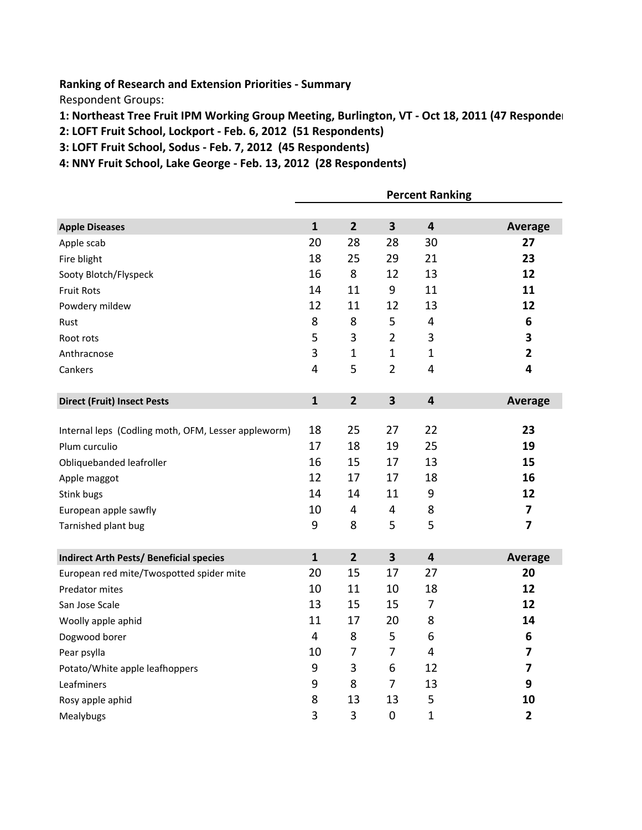**Ranking of Research and Extension Priorities - Summary** 

Respondent Groups:

- 1: Northeast Tree Fruit IPM Working Group Meeting, Burlington, VT Oct 18, 2011 (47 Responder
- 2: LOFT Fruit School, Lockport Feb. 6, 2012 (51 Respondents)
- 3: LOFT Fruit School, Sodus Feb. 7, 2012 (45 Respondents)
- 4: NNY Fruit School, Lake George Feb. 13, 2012 (28 Respondents)

|                                                     | <b>Percent Ranking</b>  |                |                         |                         |                         |
|-----------------------------------------------------|-------------------------|----------------|-------------------------|-------------------------|-------------------------|
|                                                     |                         |                |                         |                         |                         |
| <b>Apple Diseases</b>                               | $\mathbf{1}$            | $\overline{2}$ | $\overline{\mathbf{3}}$ | $\overline{\mathbf{4}}$ | Average                 |
| Apple scab                                          | 20                      | 28             | 28                      | 30                      | 27                      |
| Fire blight                                         | 18                      | 25             | 29                      | 21                      | 23                      |
| Sooty Blotch/Flyspeck                               | 16                      | 8              | 12                      | 13                      | 12                      |
| <b>Fruit Rots</b>                                   | 14                      | 11             | 9                       | 11                      | 11                      |
| Powdery mildew                                      | 12                      | 11             | 12                      | 13                      | 12                      |
| Rust                                                | 8                       | 8              | 5                       | 4                       | 6                       |
| Root rots                                           | 5                       | 3              | $\overline{2}$          | 3                       | 3                       |
| Anthracnose                                         | 3                       | $\mathbf{1}$   | $\mathbf{1}$            | $\mathbf{1}$            | $\overline{2}$          |
| Cankers                                             | $\overline{\mathbf{4}}$ | 5              | $\overline{2}$          | 4                       | 4                       |
|                                                     |                         |                |                         |                         |                         |
| <b>Direct (Fruit) Insect Pests</b>                  | $\mathbf{1}$            | $\overline{2}$ | $\overline{\mathbf{3}}$ | $\overline{\mathbf{4}}$ | Average                 |
|                                                     |                         |                |                         |                         |                         |
| Internal leps (Codling moth, OFM, Lesser appleworm) | 18                      | 25             | 27                      | 22                      | 23                      |
| Plum curculio                                       | 17                      | 18             | 19                      | 25                      | 19                      |
| Obliquebanded leafroller                            | 16                      | 15             | 17                      | 13                      | 15                      |
| Apple maggot                                        | 12                      | 17             | 17                      | 18                      | 16                      |
| Stink bugs                                          | 14                      | 14             | 11                      | 9                       | 12                      |
| European apple sawfly                               | 10                      | 4              | 4                       | 8                       | $\overline{\mathbf{z}}$ |
| Tarnished plant bug                                 | 9                       | 8              | 5                       | 5                       | $\overline{\mathbf{z}}$ |
|                                                     |                         |                |                         |                         |                         |
| <b>Indirect Arth Pests/ Beneficial species</b>      | $\mathbf{1}$            | $\overline{2}$ | $\overline{\mathbf{3}}$ | $\overline{\mathbf{4}}$ | Average                 |
| European red mite/Twospotted spider mite            | 20                      | 15             | 17                      | 27                      | 20                      |
| Predator mites                                      | 10                      | 11             | 10                      | 18                      | 12                      |
| San Jose Scale                                      | 13                      | 15             | 15                      | $\overline{7}$          | 12                      |
| Woolly apple aphid                                  | 11                      | 17             | 20                      | 8                       | 14                      |
| Dogwood borer                                       | $\overline{\mathbf{4}}$ | 8              | 5                       | 6                       | 6                       |
| Pear psylla                                         | 10                      | $\overline{7}$ | $\overline{7}$          | $\overline{4}$          | $\overline{\mathbf{z}}$ |
| Potato/White apple leafhoppers                      | 9                       | 3              | 6                       | 12                      | $\overline{\mathbf{z}}$ |
| Leafminers                                          | 9                       | 8              | $\overline{7}$          | 13                      | 9                       |
| Rosy apple aphid                                    | 8                       | 13             | 13                      | 5                       | 10                      |
| Mealybugs                                           | 3                       | 3              | $\overline{0}$          | $\mathbf{1}$            | $\overline{2}$          |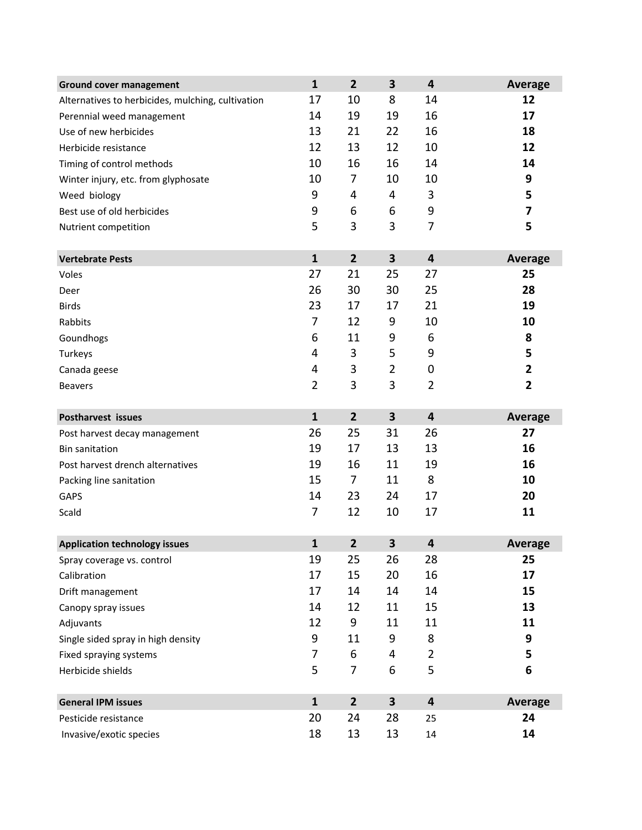| <b>Ground cover management</b>                    | $\mathbf{1}$   | $\overline{2}$ | 3                       | 4                       | <b>Average</b>          |
|---------------------------------------------------|----------------|----------------|-------------------------|-------------------------|-------------------------|
| Alternatives to herbicides, mulching, cultivation | 17             | 10             | 8                       | 14                      | 12                      |
| Perennial weed management                         | 14             | 19             | 19                      | 16                      | 17                      |
| Use of new herbicides                             | 13             | 21             | 22                      | 16                      | 18                      |
| Herbicide resistance                              | 12             | 13             | 12                      | 10                      | 12                      |
| Timing of control methods                         | 10             | 16             | 16                      | 14                      | 14                      |
| Winter injury, etc. from glyphosate               | 10             | 7              | 10                      | 10                      | 9                       |
| Weed biology                                      | 9              | 4              | 4                       | 3                       | 5                       |
| Best use of old herbicides                        | 9              | 6              | 6                       | 9                       | 7                       |
| Nutrient competition                              | 5              | 3              | 3                       | 7                       | 5                       |
|                                                   |                |                |                         |                         |                         |
| <b>Vertebrate Pests</b>                           | $\mathbf{1}$   | $\overline{2}$ | $\overline{\mathbf{3}}$ | $\overline{\mathbf{4}}$ | <b>Average</b>          |
| Voles                                             | 27             | 21             | 25                      | 27                      | 25                      |
| Deer                                              | 26             | 30             | 30                      | 25                      | 28                      |
| <b>Birds</b>                                      | 23             | 17             | 17                      | 21                      | 19                      |
| Rabbits                                           | 7              | 12             | 9                       | 10                      | 10                      |
| Goundhogs                                         | 6              | 11             | 9                       | 6                       | 8                       |
| Turkeys                                           | 4              | 3              | 5                       | 9                       | 5                       |
| Canada geese                                      | 4              | 3              | $\overline{2}$          | $\mathbf 0$             | 2                       |
| <b>Beavers</b>                                    | $\overline{2}$ | 3              | 3                       | $\overline{2}$          | $\overline{\mathbf{2}}$ |
| Postharvest issues                                | $\mathbf{1}$   | $\overline{2}$ | $\overline{\mathbf{3}}$ | 4                       | <b>Average</b>          |
| Post harvest decay management                     | 26             | 25             | 31                      | 26                      | 27                      |
| <b>Bin sanitation</b>                             | 19             | 17             | 13                      | 13                      | 16                      |
| Post harvest drench alternatives                  | 19             | 16             | 11                      | 19                      | 16                      |
| Packing line sanitation                           | 15             | 7              | 11                      | 8                       | 10                      |
| GAPS                                              | 14             | 23             | 24                      | 17                      | 20                      |
| Scald                                             | 7              | 12             | 10                      | 17                      | 11                      |
| <b>Application technology issues</b>              | $\mathbf{1}$   | $\overline{2}$ | 3                       | 4                       | <b>Average</b>          |
| Spray coverage vs. control                        | 19             | 25             | 26                      | 28                      | 25                      |
| Calibration                                       | 17             | 15             | 20                      | 16                      | 17                      |
| Drift management                                  | 17             | 14             | 14                      | 14                      | 15                      |
| Canopy spray issues                               | 14             | 12             | 11                      | 15                      | 13                      |
| Adjuvants                                         | 12             | 9              | 11                      | 11                      | 11                      |
| Single sided spray in high density                | 9              | 11             | 9                       | 8                       | 9                       |
| Fixed spraying systems                            | 7              | 6              | 4                       | $\overline{2}$          | 5                       |
| Herbicide shields                                 | 5              | 7              | 6                       | 5                       | 6                       |
|                                                   |                |                |                         |                         |                         |
| <b>General IPM issues</b>                         | $\mathbf{1}$   | $\overline{2}$ | $\overline{\mathbf{3}}$ | $\overline{\mathbf{4}}$ | <b>Average</b>          |
| Pesticide resistance                              | 20             | 24             | 28                      | 25                      | 24                      |
| Invasive/exotic species                           | 18             | 13             | 13                      | 14                      | 14                      |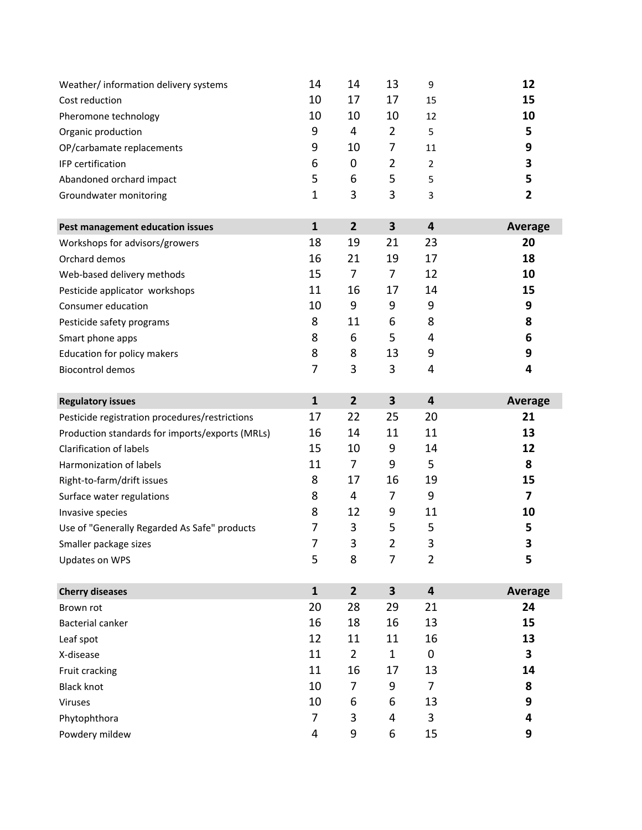| Weather/ information delivery systems           | 14           | 14             | 13                      | 9                       | 12             |
|-------------------------------------------------|--------------|----------------|-------------------------|-------------------------|----------------|
| Cost reduction                                  | 10           | 17             | 17                      | 15                      | 15             |
| Pheromone technology                            | 10           | 10             | 10                      | 12                      | 10             |
| Organic production                              | 9            | 4              | $\overline{2}$          | 5                       | 5              |
| OP/carbamate replacements                       | 9            | 10             | 7                       | 11                      | 9              |
| IFP certification                               | 6            | 0              | 2                       | $\overline{2}$          | 3              |
| Abandoned orchard impact                        | 5            | 6              | 5                       | 5                       | 5              |
| Groundwater monitoring                          | $\mathbf{1}$ | 3              | 3                       | 3                       | 2              |
| Pest management education issues                | $\mathbf{1}$ | $\overline{2}$ | $\overline{\mathbf{3}}$ | 4                       | <b>Average</b> |
| Workshops for advisors/growers                  | 18           | 19             | 21                      | 23                      | 20             |
| Orchard demos                                   | 16           | 21             | 19                      | 17                      | 18             |
| Web-based delivery methods                      | 15           | 7              | 7                       | 12                      | 10             |
| Pesticide applicator workshops                  | 11           | 16             | 17                      | 14                      | 15             |
| Consumer education                              | 10           | 9              | 9                       | 9                       | 9              |
| Pesticide safety programs                       | 8            | 11             | 6                       | 8                       | 8              |
| Smart phone apps                                | 8            | 6              | 5                       | 4                       | 6              |
| Education for policy makers                     | 8            | 8              | 13                      | 9                       | 9              |
| <b>Biocontrol demos</b>                         | 7            | 3              | 3                       | 4                       | 4              |
| <b>Regulatory issues</b>                        | $\mathbf{1}$ | $\overline{2}$ | 3                       | $\overline{\mathbf{4}}$ | <b>Average</b> |
| Pesticide registration procedures/restrictions  | 17           | 22             | 25                      | 20                      | 21             |
| Production standards for imports/exports (MRLs) | 16           | 14             | 11                      | 11                      | 13             |
| <b>Clarification of labels</b>                  | 15           | 10             | 9                       | 14                      | 12             |
| Harmonization of labels                         | 11           | 7              | 9                       | 5                       | 8              |
| Right-to-farm/drift issues                      | 8            | 17             | 16                      | 19                      | 15             |
| Surface water regulations                       | 8            | 4              | 7                       | 9                       | 7              |
| Invasive species                                | 8            | 12             | 9                       | 11                      | 10             |
| Use of "Generally Regarded As Safe" products    | 7            | 3              | 5                       | 5                       | 5              |
| Smaller package sizes                           | 7            | 3              | $\overline{2}$          | 3                       | 3              |
| Updates on WPS                                  | 5            | 8              | $\overline{7}$          | $\overline{2}$          | 5              |
| <b>Cherry diseases</b>                          | $\mathbf{1}$ | $\overline{2}$ | $\overline{\mathbf{3}}$ | $\overline{\mathbf{4}}$ | <b>Average</b> |
| Brown rot                                       | 20           | 28             | 29                      | 21                      | 24             |
| <b>Bacterial canker</b>                         | 16           | 18             | 16                      | 13                      | 15             |
| Leaf spot                                       | 12           | 11             | 11                      | 16                      | 13             |
| X-disease                                       | 11           | $\overline{2}$ | $\mathbf{1}$            | 0                       | 3              |
| Fruit cracking                                  | 11           | 16             | 17                      | 13                      | 14             |
| <b>Black knot</b>                               | 10           | 7              | 9                       | 7                       | 8              |
| Viruses                                         | 10           | 6              | 6                       | 13                      | 9              |
| Phytophthora                                    | 7            | 3              | 4                       | 3                       | 4              |
| Powdery mildew                                  | 4            | 9              | 6                       | 15                      | 9              |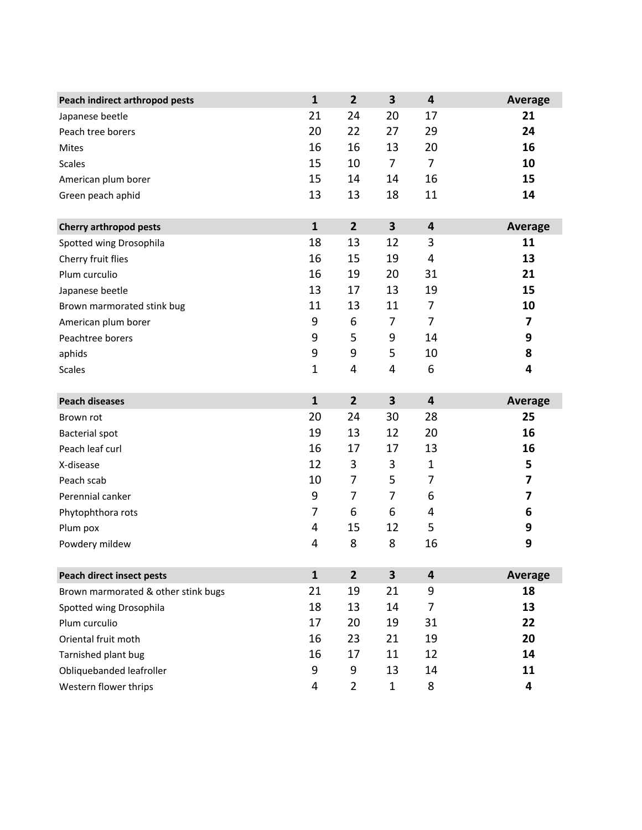| Peach indirect arthropod pests      | $\mathbf{1}$ | $\overline{2}$ | 3                       | $\overline{\mathbf{4}}$ | <b>Average</b> |
|-------------------------------------|--------------|----------------|-------------------------|-------------------------|----------------|
| Japanese beetle                     | 21           | 24             | 20                      | 17                      | 21             |
| Peach tree borers                   | 20           | 22             | 27                      | 29                      | 24             |
| Mites                               | 16           | 16             | 13                      | 20                      | 16             |
| <b>Scales</b>                       | 15           | 10             | $\overline{7}$          | $\overline{7}$          | 10             |
| American plum borer                 | 15           | 14             | 14                      | 16                      | 15             |
| Green peach aphid                   | 13           | 13             | 18                      | 11                      | 14             |
| <b>Cherry arthropod pests</b>       | $\mathbf{1}$ | $\overline{2}$ | $\overline{\mathbf{3}}$ | $\overline{\mathbf{4}}$ | <b>Average</b> |
| Spotted wing Drosophila             | 18           | 13             | 12                      | 3                       | 11             |
| Cherry fruit flies                  | 16           | 15             | 19                      | 4                       | 13             |
| Plum curculio                       | 16           | 19             | 20                      | 31                      | 21             |
| Japanese beetle                     | 13           | 17             | 13                      | 19                      | 15             |
| Brown marmorated stink bug          | 11           | 13             | 11                      | 7                       | 10             |
| American plum borer                 | 9            | 6              | $\overline{7}$          | $\overline{7}$          | 7              |
| Peachtree borers                    | 9            | 5              | 9                       | 14                      | 9              |
| aphids                              | 9            | 9              | 5                       | 10                      | 8              |
| <b>Scales</b>                       | $\mathbf{1}$ | 4              | 4                       | 6                       | 4              |
| <b>Peach diseases</b>               | $\mathbf{1}$ | $\overline{2}$ | $\overline{\mathbf{3}}$ | $\overline{\mathbf{4}}$ | <b>Average</b> |
| Brown rot                           | 20           | 24             | 30                      | 28                      | 25             |
| <b>Bacterial spot</b>               | 19           | 13             | 12                      | 20                      | 16             |
| Peach leaf curl                     | 16           | 17             | 17                      | 13                      | 16             |
| X-disease                           | 12           | 3              | 3                       | $\mathbf{1}$            | 5              |
| Peach scab                          | 10           | 7              | 5                       | 7                       | 7              |
| Perennial canker                    | 9            | 7              | 7                       | 6                       | 7              |
| Phytophthora rots                   | 7            | 6              | 6                       | 4                       | 6              |
| Plum pox                            | 4            | 15             | 12                      | 5                       | 9              |
| Powdery mildew                      | 4            | 8              | 8                       | 16                      | 9              |
| <b>Peach direct insect pests</b>    | $\mathbf{1}$ | $\overline{2}$ | $\overline{\mathbf{3}}$ | $\overline{\mathbf{4}}$ | <b>Average</b> |
| Brown marmorated & other stink bugs | 21           | 19             | 21                      | 9                       | 18             |
| Spotted wing Drosophila             | 18           | 13             | 14                      | 7                       | 13             |
| Plum curculio                       | 17           | 20             | 19                      | 31                      | 22             |
| Oriental fruit moth                 | 16           | 23             | 21                      | 19                      | 20             |
| Tarnished plant bug                 | 16           | 17             | 11                      | 12                      | 14             |
| Obliquebanded leafroller            | 9            | 9              | 13                      | 14                      | 11             |
| Western flower thrips               | 4            | $\overline{2}$ | $\mathbf{1}$            | 8                       | 4              |